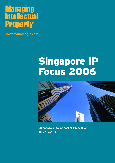### **Managing Intellectual Property**

**www.managingip.com**

# Singapore IP Focus 2006



**Singapore's law of patent revocation** Amica Law LLC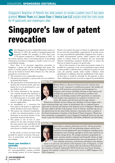Singapore's Registrar of Patents has wide powers to revoke a patent once it has been granted. **Winnie Tham** and **Jason Chan** of **Amica Law LLC** explain what the rules mean for IP applicants and challengers alike

## Singapore's law of patent revocation

ince Singapore set up an independent patent system on February 23 1995, the number of granted patents has increased steadily. For example, in 1995, there were 1,750 patents compared to 7,680 patents in 2005. As the system matures, there is increasing interest in proceeding with patent revocation in Singapore, usually as part of a concerted global strategy.

Since there is no pre-grant opposition procedure in Singapore, a patent can only be challenged after grant. The power to revoke patents is given to the Registrar of Patents and can be found in Section 80(1) Patents Act. The relevant grounds for revocation are:

- The invention is not a patentable invention.
- The patent was granted to a person who was not entitled to be granted that patent.
- The specification of the patent does not disclose the invention clearly and completely for it to be performed by a person skilled in the art.
- The matter disclosed in the specification extends beyond that disclosed in the application for the patent as filed, or if filed pursuant to an earlier application or a UK application, then those relevant applications.
- An amendment or a correction has been made to the patent or application which should not have been allowed.
- The patent was obtained fraudulently, or there was misrepresentation or nondisclosure or inaccurate disclose of any prescribed material information.
- The patent is one of two or more patents for the same invention having the same priority date and filed by the same party or successor in title (otherwise known as double patenting).

In this article, we focus on some of the grounds for patent revocation, best practices in prosecution and the revocation proceedings.

#### Ensure your invention is patentable

What may be surprising is that revocation for non-patentability remains possible even though Section 30 of the Singapore

do not meet the patentability requirements of novelty, inventive step and industrial applicability. Singapore has, in part, a so-called self-assessment system, which requires only that claims or related claims be examined, but not necessarily allowed. Nonetheless, patentees should strive to ensure the final set of claims for grant is in good order.

Patents Act permits the grant of claims in applications which

Due to the structure of our patent prosecution system it is possible for a patentee to rely on an examination report which is unfavourable or deficient (but is sufficient for grant). In such cases, the patentee usually makes further voluntary claim amendments or additions after the establishment of the report. At that time, it would be advisable for the patentee to place other validating material on record to support the amendments

Winnie Tham is a director of Amica Law LLC and has more than 13 years' experience in intellectual property. She handles all aspects of IP protection, prosecution and management in Singapore and overseas, including advising on legal aspects and strategies for protection for new inventions, products and designs, and drafting commercial IP agreements in connection with mergers and acquisitions of companies involved in real estate, life sciences and the food and beverage industry.

Winnie has a Bachelor of Laws (Hons) and a Bachelor of Science degree with a major in pharmacology and a minor in biochemistry. She is a registered patent agent and an advocate and solicitor of the Supreme Court of Singapore. Winnie has also been called to the Bar of the Supreme Court of Victoria, Australia. She sits on the editorial team for the Asian Patent Attorney's Association and is a member of the Patent Examination Committee of the Board of Patent Examiners. Winnie has been consistently recommended as one of Singapore's leading IP lawyers by the *Asia Pacific Legal 500* (2001/2002, 2002/2003, 2003/2004, 2004/2005 and 2005/2006).

#### Jason Chan



Jason Chan is a director with Amica Law LLC. He has more than 14 years' experience in IP and technology disputes and has been involved in several significant IP cases in Singapore, including recent infringement cases involving copyright in movies and a patent for an electronic storage device. He manages anti-piracy programmes for major consumer product companies and frequently advises on legal issues relating to telecommunications laws and agreements, IT, software, database and privacy, and internet and domain name disputes.

Jason is an advocate and solicitor of the Supreme Court of Singapore, as well as a registered patent agent. He is certified under the Federation Internationale des Conseils en Propriete Industrielle (FICPI) South East Asia Patent Drafting program. He regularly conducts IP courses and is active in AIPPI Singapore and APAA Singapore.

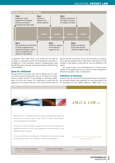

or additions. Also, where there is any doubt over the final set of claims, a post-grant search and examination procedure is available for a more definitive opinion. Adopting these steps should help reduce the risk of the patent being revoked for lack of patentability.

#### Check for entitlement

This ground of revocation may only be applied for by a person who has been found by the court in an action for a declaration or under Section 47 proceedings to determine entitlement to be the true owner. It is important to note that the applicant for revocation has up to two years from the date of grant to file the revocation. If you are out of time, you need to prove that the patentee knew at the time of the grant or of the transfer of the patent to him that he was not entitled to the patent.

As a result, if there is an ownership issue, it is best to move quickly in the application for revocation, as time is required to obtain the requisite order or declaration.

#### Sufficiency of disclosure

A patent may be revoked if the specification does not disclose the invention clearly and completely in a way that allows it to be performed by the skilled addressee. While there is no

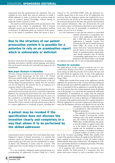requirement that the specification(s) be absolutely clear and complete in every detail, they must be sufficient to enable a skilled addressee to make or perform the invention using his stock of common general knowledge, without having to undertake further research or trials.

The need for careful preparation of the specifications is also important in the context of amendments. This is because although a patent can be amended, any amendment resulting in disclosure of additional matter or extension of the protection of the patent is prohibited. What this means is that it

*Optical Co Pte Ltd* [2002] SGHC 238), the defendant successfully argued that as the scope of the US application was narrower than the Singapore patent and rendered the invention disclosed in the former to be substantially different from the invention disclosed in the latter, the patentee had furnished false material information. This case demonstrates the need for careful scrutiny of information disclosed in patent applications, since what may be permissible or immaterial in one country may not be so in another.

Due to the structure of our patent prosecution system it is possible for a patentee to rely on an examination report which is unfavorable or deficient

becomes critical that the original specifications, including any drawings and abstract, already contain language and matters that can be used to provide clear and sufficient support for the amendments.

#### Make proper disclosure of information

The issue of proper disclosure was discussed in a recent case in Singapore (*Trek Technology (S) Pte Ltd v FE Global Electronics* [2005] SGHC 90), where the defendants sought to argue that the patent should be revoked because of the following alleged misrepresentation, namely that the invention was not developed by the patentee but by an employee of a company related to the patentee.

The Court found that it must be demonstrated that the misrepresentation had actually deceived or materially induced the Registrar into granting the patent before the court will revoke the patent. In short, the misrepresentation must be such as to have resulted in or contributed to the grant of the patent. The Court also found that the ground of misrepresentation (Section  $80(1)(f)(ii)$ ) extends to all types of inaccuracies that lie in a patent application or certificate of grant, including mis-

### A patent may be revoked if the specification does not disclose the invention clearly and completely in a way that allows it to be performed by the skilled addressee

representation about ownership. The Court opined that under Singapore's regime of limited assessment, it is essential that patentees ensure any information provided in a patent application leading up to the entry into the international or national phases and ultimately to grant, must be accurate. This would mean that even the listing of inventors should be accurate.

In a case involving a Singapore patent granted based on a corresponding US application (*Contour Optik Inc v Pearl's* It is also important to note that the reference to prescribed material information is particularly relevant to those applications filed prior to July 1 2004 that rely on corresponding applications in Australia, Canada, New Zealand, the UK, the US and the European Patent Office. By reason of the broad nature of the term "material information" and the threat of revocation for non-disclosure or misrepresentation, patent applicants should remember that all relevant corresponding applications have to be all disclosed to the Patent Office, even though

the applicant need only rely on one corresponding application.

#### Procedure for revocation

The application to revoke a patent is made by way of a prescribed form (Patents Form PF35), accompanied by a statement setting out fully the grounds of revocation, the facts and the relief which the applicant seeks. A copy of the application and the statement will be provided to the patentee by the Patent Office.

Within three months from receipt of the application and the statement, the patentee has to file a counter-statement setting out fully the grounds upon which the application is contested. At this time, it is permitted to file an application to amend the specification of the patent. Since the counter-statement forms the pleaded case of the patentee, it is critical that the statement be sufficiently comprehensive. If amendments are sought, then the proposed amendments must comply with the statutory requirements (ie that the amendments do not result in disclosure of additional matter or extension of the patent's protection). If no counter-statement is filed, the application for revocation will proceed without the patentee, but the Registrar will treat each specific fact set out in the

> statement as conceded, except insofar as it is contradicted by other documents in the Registrar's possession.

The applicant for revocation may, within three months of receiving the counterstatement and a copy of the amendment (if any), file evidence in support of the case. Within three months thereafter, the patentee may file evidence in support of the validity of the patent. As the period of three months may be insufficient to prepare a proper response, it is prudent for patentees to prepare evidence in advance, once noti-

fied of the revocation proceedings. Within three months from receipt of the patentee's evidence, the applicant may file further evidence confined to matters strictly in reply. No further evidence shall be filed by either party, without leave. The Registrar is at liberty to give further directions on subsequent procedure. Thereafter, a hearing date will be set down.

It is apparent that proceedings for revocation move rather quickly. For both parties, it is important that they gather and assess evidence as early as possible, and if non